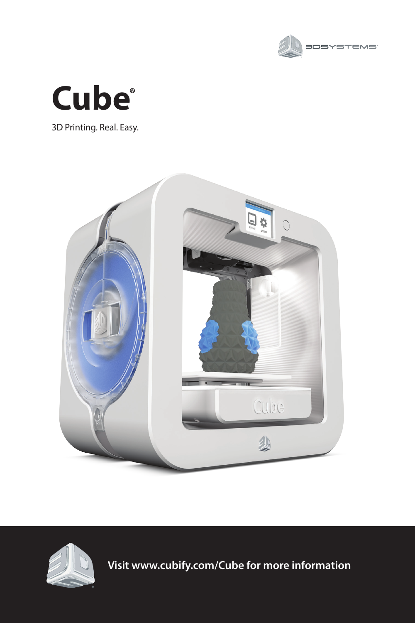



3D Printing. Real. Easy.





**Visit www.cubify.com/Cube for more information**